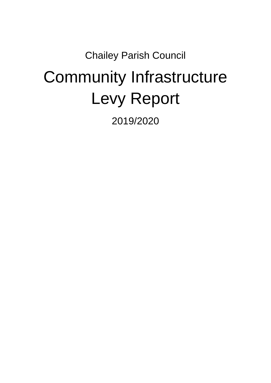## Chailey Parish Council Community Infrastructure Levy Report

2019/2020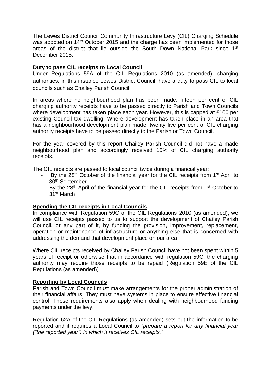The Lewes District Council Community Infrastructure Levy (CIL) Charging Schedule was adopted on 14<sup>th</sup> October 2015 and the charge has been implemented for those areas of the district that lie outside the South Down National Park since 1st December 2015.

## **Duty to pass CIL receipts to Local Council**

Under Regulations 59A of the CIL Regulations 2010 (as amended), charging authorities, in this instance Lewes District Council, have a duty to pass CIL to local councils such as Chailey Parish Council

In areas where no neighbourhood plan has been made, fifteen per cent of CIL charging authority receipts have to be passed directly to Parish and Town Councils where development has taken place each year. However, this is capped at £100 per existing Council tax dwelling. Where development has taken place in an area that has a neighbourhood development plan made, twenty five per cent of CIL charging authority receipts have to be passed directly to the Parish or Town Council.

For the year covered by this report Chailey Parish Council did not have a made neighbourhood plan and accordingly received 15% of CIL charging authority receipts.

The CIL receipts are passed to local council twice during a financial year:

- By the 28<sup>th</sup> October of the financial year for the CIL receipts from 1<sup>st</sup> April to 30th September
- By the 28<sup>th</sup> April of the financial year for the CIL receipts from 1<sup>st</sup> October to 31st March

## **Spending the CIL receipts in Local Councils**

In compliance with Regulation 59C of the CIL Regulations 2010 (as amended), we will use CIL receipts passed to us to support the development of Chailey Parish Council, or any part of it, by funding the provision, improvement, replacement, operation or maintenance of infrastructure or anything else that is concerned with addressing the demand that development place on our area.

Where CIL receipts received by Chailey Parish Council have not been spent within 5 years of receipt or otherwise that in accordance with regulation 59C, the charging authority may require those receipts to be repaid (Regulation 59E of the CIL Regulations (as amended))

## **Reporting by Local Councils**

Parish and Town Council must make arrangements for the proper administration of their financial affairs. They must have systems in place to ensure effective financial control. These requirements also apply when dealing with neighbourhood funding payments under the levy.

Regulation 62A of the CIL Regulations (as amended) sets out the information to be reported and it requires a Local Council to *"prepare a report for any financial year ("the reported year") in which it receives CIL receipts."*